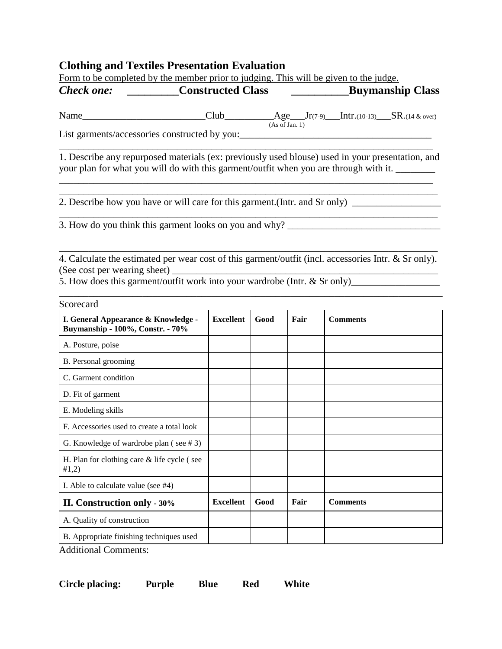## **Clothing and Textiles Presentation Evaluation**

| Form to be completed by the member prior to judging. This will be given to the judge.                                                                                                     |                  |      |      |                         |
|-------------------------------------------------------------------------------------------------------------------------------------------------------------------------------------------|------------------|------|------|-------------------------|
| <i>Check one:</i> __________Constructed Class                                                                                                                                             |                  |      |      | <b>Buymanship Class</b> |
|                                                                                                                                                                                           |                  |      |      |                         |
| List garments/accessories constructed by you:___________________________________                                                                                                          |                  |      |      |                         |
| 1. Describe any repurposed materials (ex: previously used blouse) used in your presentation, and<br>your plan for what you will do with this garment/outfit when you are through with it. |                  |      |      |                         |
| 2. Describe how you have or will care for this garment. (Intr. and Sr only) ________________________                                                                                      |                  |      |      |                         |
|                                                                                                                                                                                           |                  |      |      |                         |
|                                                                                                                                                                                           |                  |      |      |                         |
| 4. Calculate the estimated per wear cost of this garment/outfit (incl. accessories Intr. & Sr only).<br>5. How does this garment/outfit work into your wardrobe (Intr. & Sr only)         |                  |      |      |                         |
| Scorecard                                                                                                                                                                                 |                  |      |      |                         |
| I. General Appearance & Knowledge -<br><b>Buymanship - 100%, Constr. - 70%</b>                                                                                                            | <b>Excellent</b> | Good | Fair | <b>Comments</b>         |
| A. Posture, poise                                                                                                                                                                         |                  |      |      |                         |
| B. Personal grooming                                                                                                                                                                      |                  |      |      |                         |
| C. Garment condition                                                                                                                                                                      |                  |      |      |                         |
| D. Fit of garment                                                                                                                                                                         |                  |      |      |                         |
| E. Modeling skills                                                                                                                                                                        |                  |      |      |                         |
| F. Accessories used to create a total look                                                                                                                                                |                  |      |      |                         |
| G. Knowledge of wardrobe plan (see #3)                                                                                                                                                    |                  |      |      |                         |
| H. Plan for clothing care & life cycle (see<br>#1,2)                                                                                                                                      |                  |      |      |                         |
| I. Able to calculate value (see #4)                                                                                                                                                       |                  |      |      |                         |
| II. Construction only - 30%                                                                                                                                                               | <b>Excellent</b> | Good | Fair | <b>Comments</b>         |
| A. Quality of construction                                                                                                                                                                |                  |      |      |                         |
| B. Appropriate finishing techniques used                                                                                                                                                  |                  |      |      |                         |

Additional Comments:

**Circle placing: Purple Blue Red White**